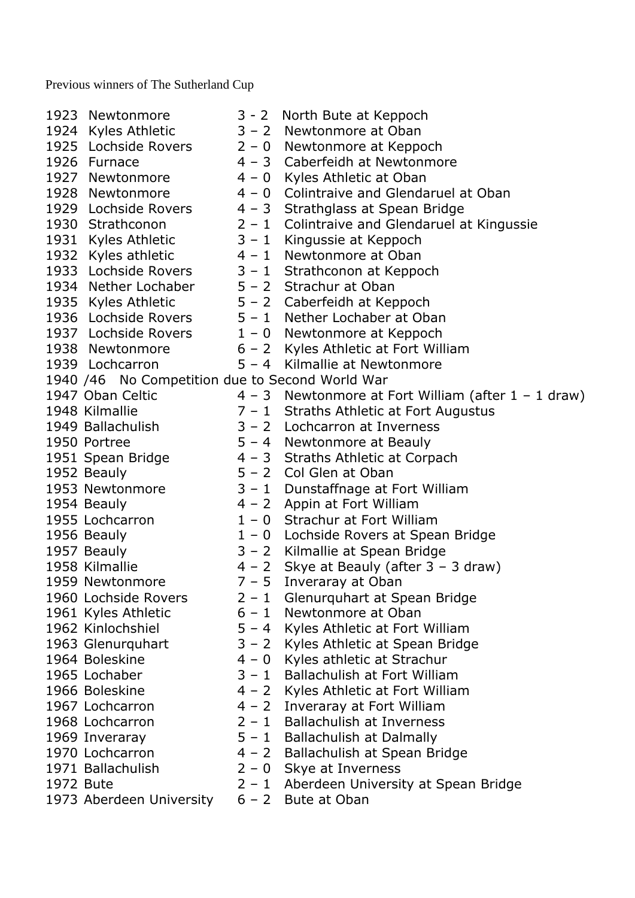Previous winners of The Sutherland Cup

1923 Newtonmore 3 - 2 North Bute at Keppoch 1924 Kyles Athletic 3 – 2 Newtonmore at Oban 1925 Lochside Rovers 2 – 0 Newtonmore at Keppoch 1926 Furnace 4 – 3 Caberfeidh at Newtonmore 1927 Newtonmore 4 – 0 Kyles Athletic at Oban 1928 Newtonmore 4 – 0 Colintraive and Glendaruel at Oban 1929 Lochside Rovers 4 – 3 Strathglass at Spean Bridge 1930 Strathconon 2 – 1 Colintraive and Glendaruel at Kingussie 1931 Kyles Athletic 3 – 1 Kingussie at Keppoch 1932 Kyles athletic 4 – 1 Newtonmore at Oban 1933 Lochside Rovers 3 – 1 Strathconon at Keppoch 1934 Nether Lochaber 5 – 2 Strachur at Oban 1935 Kyles Athletic 5 – 2 Caberfeidh at Keppoch 1936 Lochside Rovers 5 – 1 Nether Lochaber at Oban 1937 Lochside Rovers 1 – 0 Newtonmore at Keppoch 1938 Newtonmore 6 – 2 Kyles Athletic at Fort William 1939 Lochcarron 5 – 4 Kilmallie at Newtonmore 1940 /46 No Competition due to Second World War 1947 Oban Celtic  $4 - 3$  Newtonmore at Fort William (after  $1 - 1$  draw) 1948 Kilmallie 7 – 1 Straths Athletic at Fort Augustus 1949 Ballachulish 3 – 2 Lochcarron at Inverness 1950 Portree 5 – 4 Newtonmore at Beauly 1951 Spean Bridge 4 – 3 Straths Athletic at Corpach 1952 Beauly 5 – 2 Col Glen at Oban 1953 Newtonmore 3 – 1 Dunstaffnage at Fort William 1954 Beauly 4 – 2 Appin at Fort William 1955 Lochcarron 1 – 0 Strachur at Fort William 1956 Beauly 1 – 0 Lochside Rovers at Spean Bridge 1957 Beauly 3 – 2 Kilmallie at Spean Bridge 1958 Kilmallie 4 – 2 Skye at Beauly (after 3 – 3 draw) 1959 Newtonmore  $7 - 5$  Inveraray at Oban 1960 Lochside Rovers 2 – 1 Glenurquhart at Spean Bridge 1961 Kyles Athletic 6 – 1 Newtonmore at Oban 1962 Kinlochshiel 5 – 4 Kyles Athletic at Fort William 1963 Glenurquhart 3 – 2 Kyles Athletic at Spean Bridge 1964 Boleskine 4 – 0 Kyles athletic at Strachur 1965 Lochaber 3 – 1 Ballachulish at Fort William 1966 Boleskine 4 – 2 Kyles Athletic at Fort William 1967 Lochcarron 4 – 2 Inveraray at Fort William 1968 Lochcarron 2 – 1 Ballachulish at Inverness 1969 Inveraray 5 – 1 Ballachulish at Dalmally 1970 Lochcarron 4 – 2 Ballachulish at Spean Bridge 1971 Ballachulish 2 – 0 Skye at Inverness 1972 Bute 2 – 1 Aberdeen University at Spean Bridge 1973 Aberdeen University 6 - 2 Bute at Oban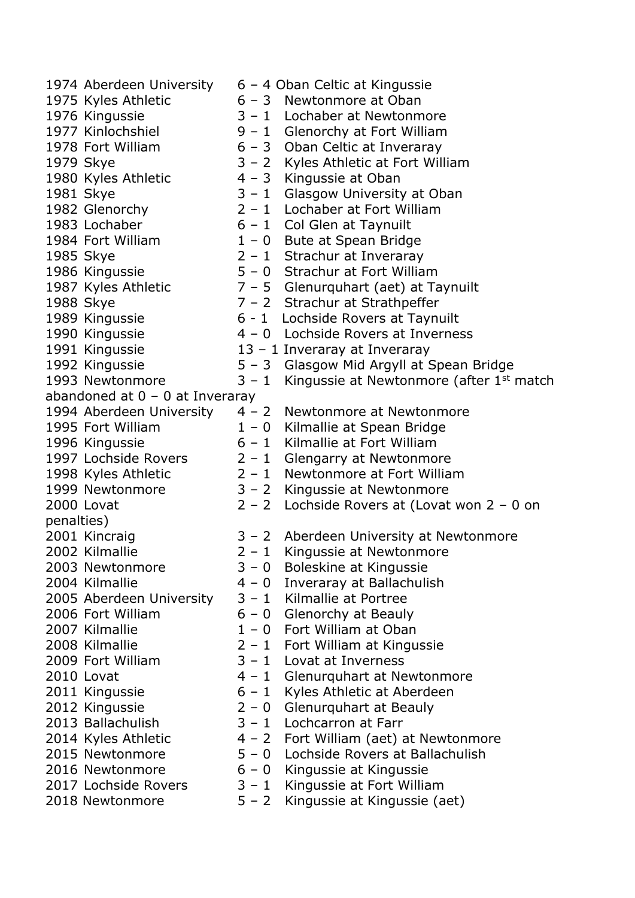1974 Aberdeen University 6 – 4 Oban Celtic at Kingussie 1975 Kyles Athletic 6 – 3 Newtonmore at Oban 1976 Kingussie 3 – 1 Lochaber at Newtonmore 1977 Kinlochshiel 9 – 1 Glenorchy at Fort William 1978 Fort William 6 – 3 Oban Celtic at Inveraray 1979 Skye 3 – 2 Kyles Athletic at Fort William 1980 Kyles Athletic 4 – 3 Kingussie at Oban 1981 Skye 3 – 1 Glasgow University at Oban 1982 Glenorchy 2 – 1 Lochaber at Fort William 1983 Lochaber 6 – 1 Col Glen at Taynuilt 1984 Fort William  $1 - 0$  Bute at Spean Bridge 1985 Skye 2 – 1 Strachur at Inveraray 1986 Kingussie 5 – 0 Strachur at Fort William 1987 Kyles Athletic  $7 - 5$  Glenurquhart (aet) at Taynuilt 1988 Skye 7 – 2 Strachur at Strathpeffer 1989 Kingussie 6 - 1 Lochside Rovers at Taynuilt 1990 Kingussie 4 – 0 Lochside Rovers at Inverness 1991 Kingussie 13 – 1 Inveraray at Inveraray 1992 Kingussie 5 – 3 Glasgow Mid Argyll at Spean Bridge 1993 Newtonmore  $3 - 1$  Kingussie at Newtonmore (after 1st match abandoned at  $0 - 0$  at Inveraray 1994 Aberdeen University 4 – 2 Newtonmore at Newtonmore 1995 Fort William 1 – 0 Kilmallie at Spean Bridge 1996 Kingussie 6 – 1 Kilmallie at Fort William 1997 Lochside Rovers 2 – 1 Glengarry at Newtonmore 1998 Kyles Athletic 2 – 1 Newtonmore at Fort William 1999 Newtonmore 3 – 2 Kingussie at Newtonmore 2000 Lovat 2 – 2 Lochside Rovers at (Lovat won 2 – 0 on penalties) 2001 Kincraig 3 – 2 Aberdeen University at Newtonmore 2002 Kilmallie 2 – 1 Kingussie at Newtonmore 2003 Newtonmore 3 – 0 Boleskine at Kingussie 2004 Kilmallie 4 – 0 Inveraray at Ballachulish 2005 Aberdeen University 3 – 1 Kilmallie at Portree 2006 Fort William  $6 - 0$  Glenorchy at Beauly 2007 Kilmallie 1 – 0 Fort William at Oban 2008 Kilmallie 2 – 1 Fort William at Kingussie 2009 Fort William 3 – 1 Lovat at Inverness 2010 Lovat **4 – 1** Glenurquhart at Newtonmore 2011 Kingussie 6 – 1 Kyles Athletic at Aberdeen 2012 Kingussie 2 – 0 Glenurquhart at Beauly 2013 Ballachulish 3 – 1 Lochcarron at Farr 2014 Kyles Athletic  $4 - 2$  Fort William (aet) at Newtonmore 2015 Newtonmore 5 – 0 Lochside Rovers at Ballachulish 2016 Newtonmore 6 – 0 Kingussie at Kingussie 2017 Lochside Rovers  $3 - 1$  Kingussie at Fort William 2018 Newtonmore 5 – 2 Kingussie at Kingussie (aet)